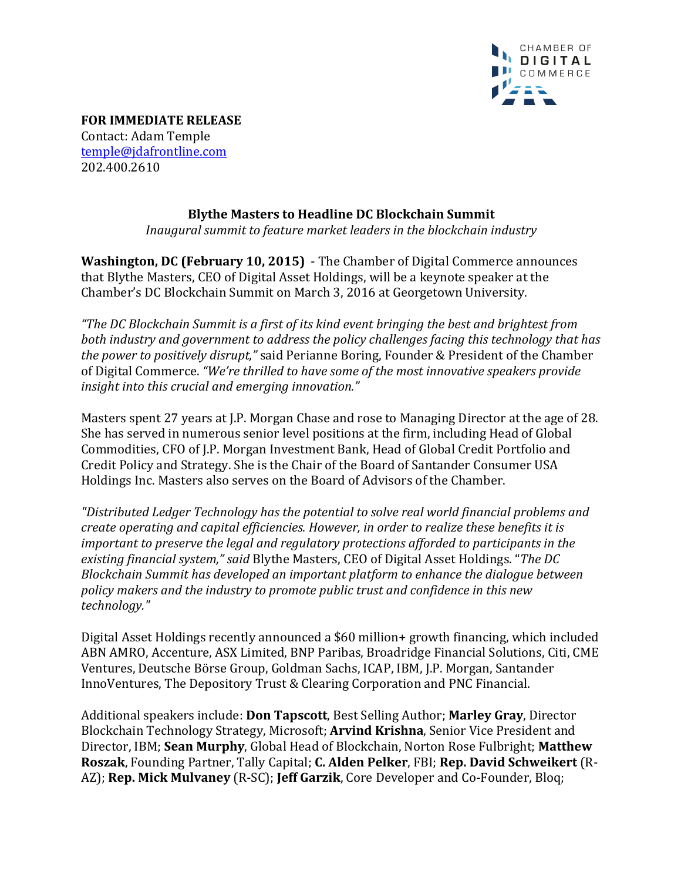

**FOR IMMEDIATE RELEASE** Contact: Adam Temple temple@jdafrontline.com 202.400.2610

## **Blythe Masters to Headline DC Blockchain Summit**

*Inaugural summit to feature market leaders in the blockchain industry* 

**Washington, DC (February 10, 2015)** - The Chamber of Digital Commerce announces that Blythe Masters, CEO of Digital Asset Holdings, will be a keynote speaker at the Chamber's DC Blockchain Summit on March 3, 2016 at Georgetown University.

"The DC Blockchain Summit is a first of its kind event bringing the best and brightest from *both industry and government to address the policy challenges facing this technology that has the power to positively disrupt,*" said Perianne Boring, Founder & President of the Chamber of Digital Commerce. "We're thrilled to have some of the most innovative speakers provide *insight into this crucial and emerging innovation.*"

Masters spent 27 years at J.P. Morgan Chase and rose to Managing Director at the age of 28. She has served in numerous senior level positions at the firm, including Head of Global Commodities, CFO of J.P. Morgan Investment Bank, Head of Global Credit Portfolio and Credit Policy and Strategy. She is the Chair of the Board of Santander Consumer USA Holdings Inc. Masters also serves on the Board of Advisors of the Chamber.

*"Distributed Ledger Technology has the potential to solve real world financial problems and create operating and capital efficiencies. However, in order to realize these benefits it is important to preserve the legal and regulatory protections afforded to participants in the* existing financial system," said Blythe Masters, CEO of Digital Asset Holdings. "The DC *Blockchain Summit has developed an important platform to enhance the dialogue between* policy makers and the *industry* to promote public trust and confidence in this new *technology."* 

Digital Asset Holdings recently announced a \$60 million+ growth financing, which included ABN AMRO, Accenture, ASX Limited, BNP Paribas, Broadridge Financial Solutions, Citi, CME Ventures, Deutsche Börse Group, Goldman Sachs, ICAP, IBM, J.P. Morgan, Santander InnoVentures, The Depository Trust & Clearing Corporation and PNC Financial.

Additional speakers include: **Don Tapscott**, Best Selling Author; Marley Gray, Director Blockchain Technology Strategy, Microsoft; **Arvind Krishna**, Senior Vice President and Director, IBM; Sean Murphy, Global Head of Blockchain, Norton Rose Fulbright; Matthew **Roszak, Founding Partner, Tally Capital; C. Alden Pelker, FBI; Rep. David Schweikert (R-**AZ); **Rep. Mick Mulvaney** (R-SC); **Jeff Garzik**, Core Developer and Co-Founder, Bloq;